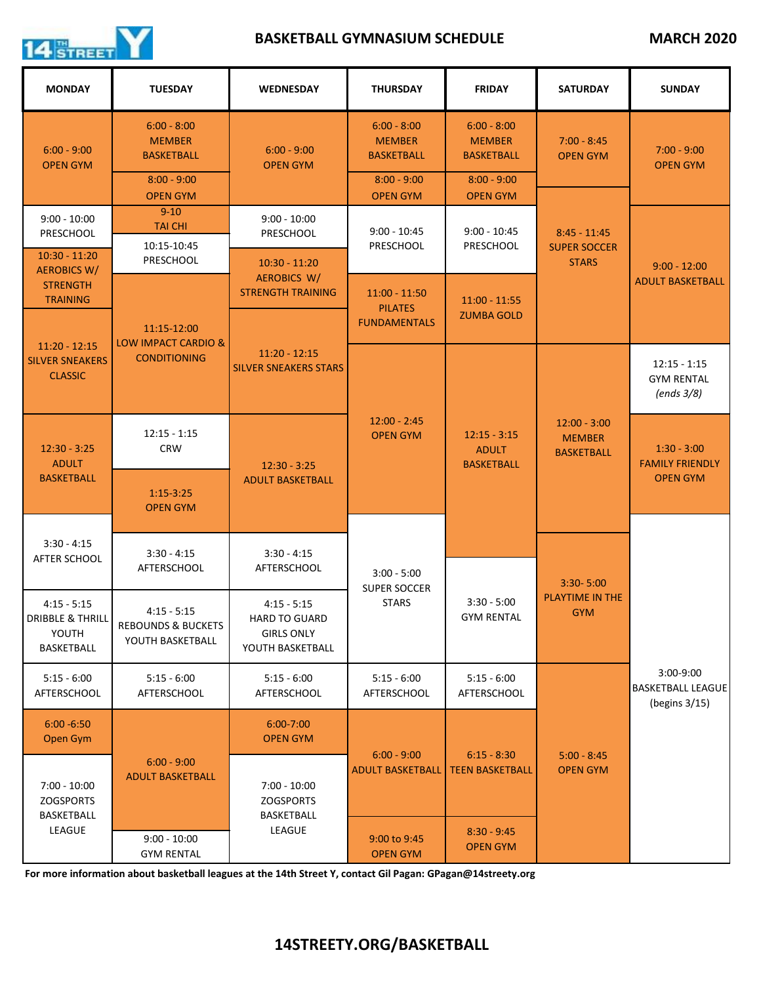

## **BASKETBALL GYMNASIUM SCHEDULE** MARCH 2020

| <b>MONDAY</b>                                                       | <b>TUESDAY</b>                                                       | <b>WEDNESDAY</b>                                                               | <b>THURSDAY</b>                                          | <b>FRIDAY</b>                                                               | <b>SATURDAY</b>                                       | <b>SUNDAY</b>                                              |
|---------------------------------------------------------------------|----------------------------------------------------------------------|--------------------------------------------------------------------------------|----------------------------------------------------------|-----------------------------------------------------------------------------|-------------------------------------------------------|------------------------------------------------------------|
| $6:00 - 9:00$<br><b>OPEN GYM</b>                                    | $6:00 - 8:00$<br><b>MEMBER</b><br><b>BASKETBALL</b>                  | $6:00 - 9:00$<br><b>OPEN GYM</b>                                               | $6:00 - 8:00$<br><b>MEMBER</b><br><b>BASKETBALL</b>      | $6:00 - 8:00$<br><b>MEMBER</b><br><b>BASKETBALL</b>                         | $7:00 - 8:45$<br><b>OPEN GYM</b>                      | $7:00 - 9:00$<br><b>OPEN GYM</b>                           |
|                                                                     | $8:00 - 9:00$<br><b>OPEN GYM</b>                                     |                                                                                | $8:00 - 9:00$<br><b>OPEN GYM</b>                         | $8:00 - 9:00$<br><b>OPEN GYM</b>                                            |                                                       |                                                            |
| $9:00 - 10:00$<br><b>PRESCHOOL</b>                                  | $9 - 10$<br><b>TAI CHI</b>                                           | $9:00 - 10:00$<br><b>PRESCHOOL</b>                                             | $9:00 - 10:45$<br><b>PRESCHOOL</b>                       | $9:00 - 10:45$<br><b>PRESCHOOL</b>                                          | $8:45 - 11:45$<br><b>SUPER SOCCER</b><br><b>STARS</b> | $9:00 - 12:00$<br><b>ADULT BASKETBALL</b>                  |
| $10:30 - 11:20$<br><b>AEROBICS W/</b>                               | 10:15-10:45<br>PRESCHOOL                                             | $10:30 - 11:20$<br><b>AEROBICS W/</b><br><b>STRENGTH TRAINING</b>              |                                                          |                                                                             |                                                       |                                                            |
| <b>STRENGTH</b><br><b>TRAINING</b>                                  |                                                                      |                                                                                | $11:00 - 11:50$<br><b>PILATES</b><br><b>FUNDAMENTALS</b> | $11:00 - 11:55$<br><b>ZUMBA GOLD</b>                                        |                                                       |                                                            |
| $11:20 - 12:15$<br><b>SILVER SNEAKERS</b><br><b>CLASSIC</b>         | 11:15-12:00<br><b>LOW IMPACT CARDIO &amp;</b><br><b>CONDITIONING</b> | $11:20 - 12:15$<br><b>SILVER SNEAKERS STARS</b>                                |                                                          |                                                                             |                                                       |                                                            |
|                                                                     |                                                                      |                                                                                | $12:00 - 2:45$<br><b>OPEN GYM</b>                        | $12:15 - 3:15$<br><b>ADULT</b><br><b>BASKETBALL</b>                         | $12:00 - 3:00$<br><b>MEMBER</b><br><b>BASKETBALL</b>  | $12:15 - 1:15$<br><b>GYM RENTAL</b><br>(ends 3/8)          |
| $12:30 - 3:25$<br><b>ADULT</b><br><b>BASKETBALL</b>                 | $12:15 - 1:15$<br><b>CRW</b>                                         | $12:30 - 3:25$<br><b>ADULT BASKETBALL</b>                                      |                                                          |                                                                             |                                                       | $1:30 - 3:00$<br><b>FAMILY FRIENDLY</b><br><b>OPEN GYM</b> |
|                                                                     | $1:15-3:25$<br><b>OPEN GYM</b>                                       |                                                                                |                                                          |                                                                             |                                                       |                                                            |
| $3:30 - 4:15$<br>AFTER SCHOOL                                       | $3:30 - 4:15$<br>AFTERSCHOOL                                         | $3:30 - 4:15$<br>AFTERSCHOOL                                                   | $3:00 - 5:00$<br><b>SUPER SOCCER</b>                     |                                                                             | $3:30 - 5:00$                                         |                                                            |
|                                                                     |                                                                      |                                                                                |                                                          |                                                                             |                                                       |                                                            |
| $4:15 - 5:15$<br><b>DRIBBLE &amp; THRILL</b><br>YOUTH<br>BASKETBALL | $4:15 - 5:15$<br><b>REBOUNDS &amp; BUCKETS</b><br>YOUTH BASKETBALL   | $4:15 - 5:15$<br><b>HARD TO GUARD</b><br><b>GIRLS ONLY</b><br>YOUTH BASKETBALL | <b>STARS</b>                                             | $3:30 - 5:00$<br><b>GYM RENTAL</b>                                          | <b>PLAYTIME IN THE</b><br><b>GYM</b>                  |                                                            |
| $5:15 - 6:00$<br>AFTERSCHOOL                                        | $5:15 - 6:00$<br><b>AFTERSCHOOL</b>                                  | $5:15 - 6:00$<br>AFTERSCHOOL                                                   | $5:15 - 6:00$<br><b>AFTERSCHOOL</b>                      | $5:15 - 6:00$<br><b>AFTERSCHOOL</b>                                         |                                                       | $3:00-9:00$<br><b>BASKETBALL LEAGUE</b><br>(begins 3/15)   |
| $6:00 - 6:50$<br>Open Gym                                           | $6:00 - 9:00$<br><b>ADULT BASKETBALL</b>                             | $6:00 - 7:00$<br><b>OPEN GYM</b>                                               | $6:00 - 9:00$<br><b>ADULT BASKETBALL</b>                 | $6:15 - 8:30$<br><b>TEEN BASKETBALL</b><br>$8:30 - 9:45$<br><b>OPEN GYM</b> | $5:00 - 8:45$<br><b>OPEN GYM</b>                      |                                                            |
| $7:00 - 10:00$<br><b>ZOGSPORTS</b><br><b>BASKETBALL</b><br>LEAGUE   |                                                                      | $7:00 - 10:00$<br><b>ZOGSPORTS</b><br>BASKETBALL<br>LEAGUE                     |                                                          |                                                                             |                                                       |                                                            |
|                                                                     | $9:00 - 10:00$<br><b>GYM RENTAL</b>                                  |                                                                                | 9:00 to 9:45<br><b>OPEN GYM</b>                          |                                                                             |                                                       |                                                            |

**For more information about basketball leagues at the 14th Street Y, contact Gil Pagan: GPagan@14streety.org**

## **14STREETY.ORG/BASKETBALL**